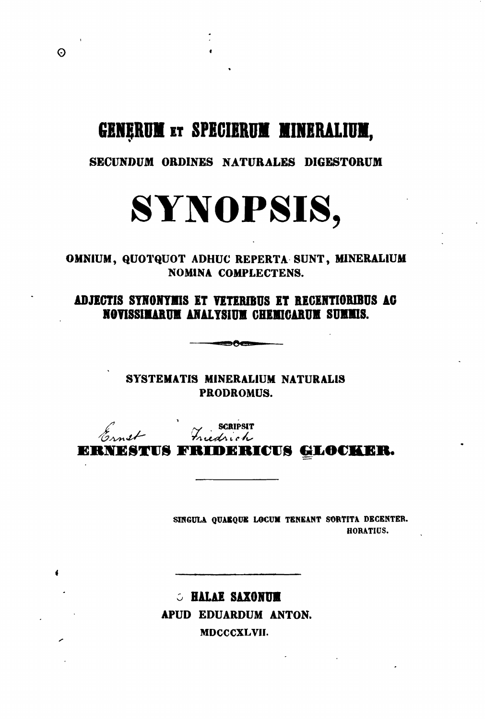# GENERUM ET SPECIERUM MINERALIUM,

# SECUNDUM ORDINES NATURALES DIGESTORUM



OMNIUM, QUOTQUOT ADHUC REPERTA SUNT, MINERALIUM **NOMINA COMPLECTENS.** 

ADJECTIS SYNONYMIS ET VETERIBUS ET RECENTIORIBUS AC NOVISSIMARUM ANALYSIUM CHEMICARUM SUMMIS.

**DAck** 

SYSTEMATIS MINERALIUM NATURALIS PRODROMUS.

Ernst Friedrich

ERNESTUS FRIDERICUS GLOCKER.

SINGULA QUAEQUE LOCUM TENEANT SORTITA DECENTER. **HORATIUS.** 

**S HALAE SAXONUM** APUD EDUARDUM ANTON. MDCCCXLVII.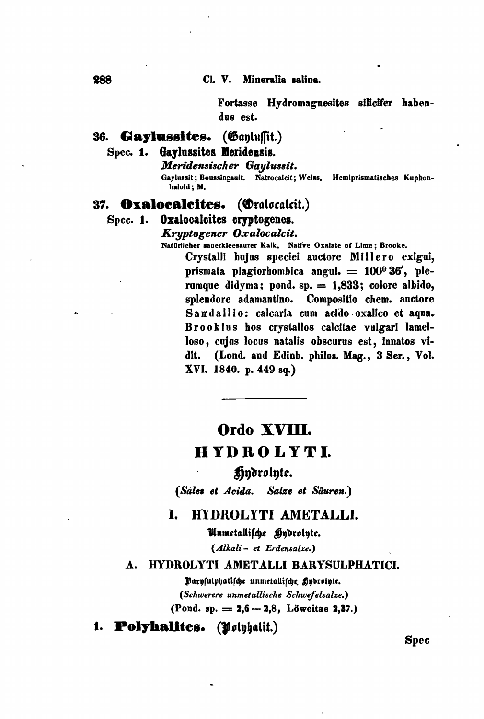Fortasse Hydromagnesites silicifer habendus est.

#### (Ganlussit.) 36. Gaylussites.

Gaylussites Meridensis. **Spec. 1.** 

### Meridensischer Gaylussit.

Gaylussit; Boussingault. Natrocalcit; Weiss. Hemiprismatisches Kuphonhaloid: M.

#### (Oralocalcit.) 37. Oxalocalcites.

## Spec. 1. Oxalocalcites cryptogenes.

Kryptogener Oxalocalcit.

Natürlicher sauerkleesaurer Kalk. Native Oxalate of Lime; Brooke.

Crystalli hujus speciei auctore Millero exigui, prismata plagiorhombica angul.  $= 100^{\circ} 36'$ , plerumque didyma; pond. sp. = 1,833; colore albido, splendore adamantino. Compositio chem. auctore Sandallio: calcaria cum acido oxalico et aqua. Brookius hos crystallos calcitae vulgari lamelloso, cujus locus natalis obscurus est, innatos vi-(Lond. and Edinb. philos. Mag., 3 Ser., Vol. dit. XVI. 1840. p. 449 sq.)

# Ordo XVIII. HYDROLYTI.

# Hydrolyte.

(Sales et Acida. Salze et Säuren.)

#### L. HYDROLYTI AMETALLI.

Unmetallische Hndrolnte.

(Alkali- et Erdensalze.)

#### A. HYDROLYTI AMETALLI BARYSULPHATICI.

Parysulphatische unmetallische Hydrolyte. (Schwerere unmetallische Schwefelsalze.) (Pond. sp.  $= 2,6 - 2,8$ , Löweitae 2,37.)

1. Polyhalites. (Polyhalit.)

Spec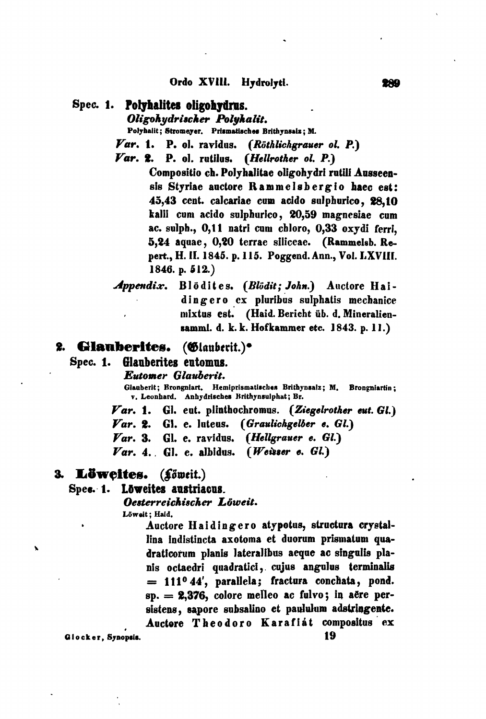### Spec. 1. Polyhalites oligohydrus.

Oligohudrischer Polukalit.

Polyhalit; Stromeyer, Prismatisches Brithynsaiz; M.

- Var. 1. P. ol. ravidus. (Röthlichgrauer ol. P.)
- Var. 2. P. ol. rutilus. (Hellrother ol. P.)
	- Compositio ch. Polyhalitae oligohydri rutili Ausseensis Styriae auctore Rammelsbergio haec est: 45.43 cent. calcariae cum acido sulphurico. 28.10 kalii cum acido sulphurico, 20,59 magnesiae cum ac. sulph., 0.11 natri cum chloro. 0.33 oxvdi ferri. 5,24 aquae, 0,20 terrae siliceae. (Rammelsb. Repert., H. II. 1845. p. 115. Poggend. Ann., Vol. LXVIII. 1846. p.  $512.$
- Blödites. (Blödit; John.) Auctore Hai-Appendix. dingero ex pluribus sulphatis mechanice mixtus est. (Haid. Bericht üb. d. Mineraliensamml. d. k. k. Hofkammer etc. 1843. p. 11.)

#### 2. Glauberites. (Glauberit.)<sup>•</sup>

#### Spec. 1. Glanberites entomns.

### Eutomer Glauberit.

Glauberit; Brongniart, Hemiprismatisches Brithynsalz; M. Brongniartin; v. Leonhard. Anhydrisches Brithynsulphat; Br.

- $\boldsymbol{Var}$ , 1. Gl. eut. plinthochromus. (Ziegelrother eut. Gl.)
- Var. 2. Gl. e. luteus. (Graulichgelber e. Gl.)
- (Hellgrauer e. Gl.)  $\boldsymbol{Var.}$  3. Gl. e. ravidus.
- $(W$ eisser e.  $GL$  $\boldsymbol{Var.}$  4. Gl. e. albidus.

### 3. Löweites. (Löweit.)

## Spec. 1. Loweites austriacus.

Oesterreichischer Löweit.

Löwait: Haid.

Auctore Haidingero atypotus, structura crystallina indistincta axotoma et duorum prismatum quadraticorum planis lateralibus aeque ac singulis planis octaedri quadratici, cujus angulus terminalis  $= 111^{\circ}44'$ , parallela; fractura conchata, pond. sp. = 2,376, colore melleo ac fulvo; in aère persistens, sapore subsalino et paululum adstringente. Auctore Theodoro Karafiat compositus ex

Glocker, Synopsis.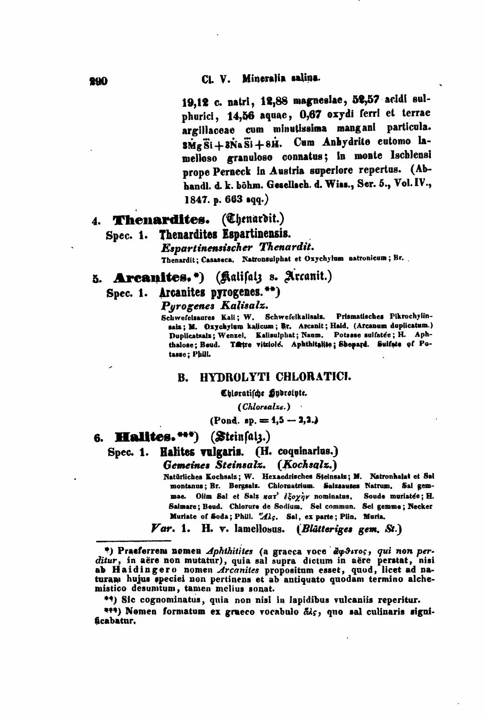19,12 c. natri, 12,88 magnesiae, 52,57 acidi sulphurici, 14,56 aquae, 0,67 oxydi ferri et terrae argillaceae cum minutissima mangani particula. smg Si + 3Na Si + 8H. Cum Anhydrite eutomo lamelloso granuloso connatus; in monte Ischlensi prope Perneck in Austria superiore repertus. (Abhandl. d. k. böhm. Gesellsch. d. Wiss., Ser. 5., Vol. IV., 1847. p.  $663$  sqq.)

# 4. Thenardites. (Chenardit.)

# Spec. 1. Thenardites Espartinensis.

Espartinensischer Thenardit. Thenardit; Casaseca. Natronsulphat et Oxychylum natronicum; Br.

5. Arcanites.\*) (Kalifalz s. Arcanit.)

# Spec. 1. Arcanites pyrogenes.\*\*)

Purogenes Kalisalz.

Schwefelsaures Kali; W. Schwefelkalisals. Prismatisches Pikrochylinsalz; M. Oxychylum kalicum; Br. Arcanit; Haid. (Arcanum duplicatum.) Duplicatsalz; Wenzel, Kalisulphat; Naum. Potasse sulfatée; H. Aphthalose: Beud. Tatre vitriole. Aphthitalite; Shepard. Suifate of Potasse; Phill.

#### HYDROLYTI CHLORATICI. **B.**

Chloratifche Hydrolyte.

(Chlorsalze.)

 $($ Pond. sp.  $= 4.5 - 3.2.$ 

# 6. Halites. \*\*\*) (Steinfalz.)

Spec. 1. Halites vulgaris. (H. coquinarius.)

Gemeines Steinsalz. (Kochsalz.)

Natürliches Kochsalz; W. Hexaedrisches Steinsalz; M. Natronhalat et Sal montanus; Br. Bergsalz. Chlornatrium. Salzsauses Natrum. Sal gemmae. Olim Sal et Salz xar'  $\frac{2}{3}$  oynuminatus. Soude muriatee; H. Salmare; Beud. Chlorure de Sodium. Sei commun. Sel gemme; Necker Muriate of Soda; Phill. "Alc. Sal, ex parte; Plin. Muria.

Var. 1. H. v. lamellosus. (Blütteriges gem. St.)

\*) Praeferrem nomen Aphthitites (a graeca voce  $\partial \varphi \partial x \circ \sigma$ , qui non per-<br>ditur, in aëre non mutatur), quia sal supra dictum in aëre perstat, nisi<br>ab Haidingero nomen Arcanites propositum esset, quod, licet ad na-<br>turam mistico desumtum, tamen melius sonat.

\*\*) Sic cognominatus, quia non nisi in lapidibus vulcaniis reperitur.

\*\*\*) Nemen formatum ex graeco vocabulo &is, que sal culinaris significabatur.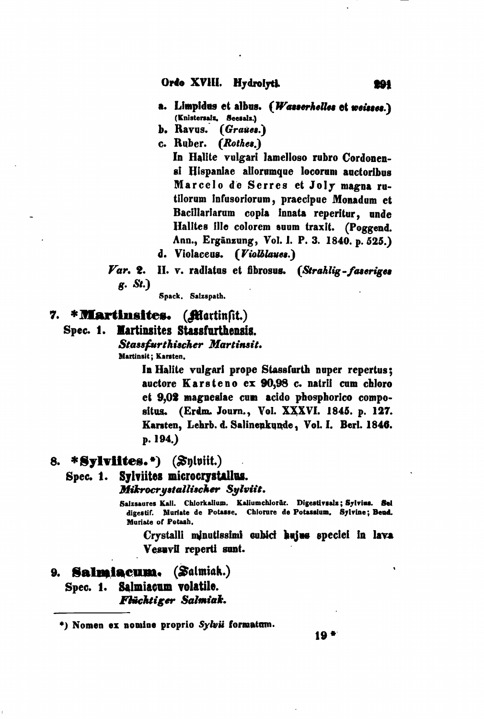- a. Limpidus et albus. (Wasserhelles et weisses.) (Knistersalz, Seesalz.)
- b. Ravus. (Graues.)
- c. Ruber. (Rothes.)

In Halite vulgari lamelloso rubro Cordonensi Hispaniae aliorumque locorum auctoribus Marcelo de Serres et Joly magna rutilorum infusoriorum, praecipue Monadum et Bacillariarum copia innata reperitur, unde Halites ille colorem suum traxit. (Poggend. Ann., Ergänzung, Vol. I. P. 3. 1840. p. 525.)

- d. Violaceus. (Violblaues.)
- II. v. radiatus et fibrosus. (Strahlig-faseriges  $\boldsymbol{\mathit{Var.}}$  2. g. St.)
	- Spack. Salzspath.

# 7. \* **Martinsites.** (*filortinfit.*)

# Spec. 1. Martinsites Stassfurthensis.

Stassfurthischer Martinsit. Martinsit; Karsten.

> In Halite vulgari prope Stassfurth nuper repertus; auctore Karsteno ex 90,98 c. natrii cum chloro et 9,02 magnesiae cum acido phosphorico compositus. (Erdm. Journ., Vol. XXXVI. 1845. p. 127. Karsten, Lehrb. d. Salinenkunde, Vol. I. Berl. 1846. p. 194.)

# 8. \*Sylviites.\*)  $(Sn|init.)$

#### Spec. 1. Sylviites microcrystallus.

Mikrocrystallischer Sylviit.

Saizsaures Kali. Chlorkalium. Kaliumchlorür. Digestivsalz; Sylvius. Sel digestif. Muriate de Potasse. Chlorure de Potassium. Sylvine; Beud. Muriate of Potash.

Crystalli minutissimi cubici hujus speciei in lava Vesuvil reperti sunt.

#### 9. Salmiacum. (Salmiak.)

# Spec. 1. Salmiacum volatile. Flüchtiger Salmiak.

<sup>\*)</sup> Nomen ex nomine proprio Sylvii formatum.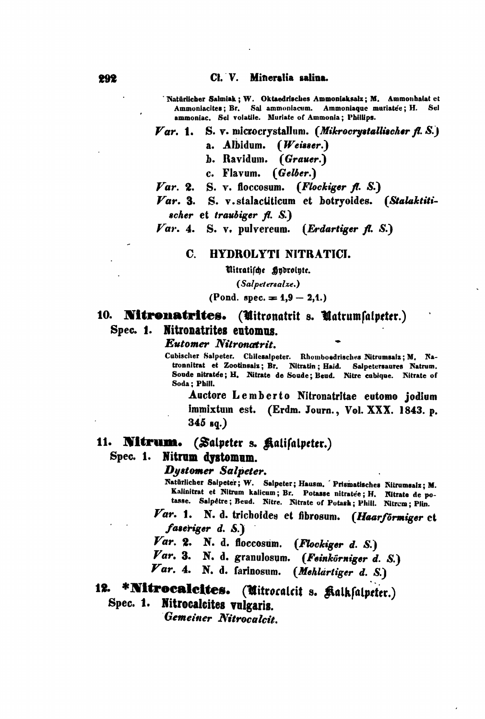Cl. V. Mineralia salina.

'Natürlicher Salmiak ; W. Oktaedrisches Ammoniaksalz; M. Ammonhalat et Ammoniacites; Br. Sal ammoniacum. Ammoniaque muriatée; H. Sel ammoniac. Sel volatile. Muriate of Ammonia: Phillips.

#### $\boldsymbol{Var.}$  1. S. v. microcrystallum. (Mikrocrystallischer fl. S.)

- a. Albidum.  $(Weisser.)$
- b. Ravidum. (Grauer.)
- c. Flavum. (Gelber.)
- S. v. floccosum. (Flockiger fl. S.)  $\boldsymbol{Var.}$  2.
- Var. 3. S. v. stalactiticum et botryoides. (Stalaktitischer et traubiger  $f. S.)$

 $Var.$  4. S. v. pulvereum. (Erdartiger A. S.)

#### $\mathbf{c}$ HYDROLYTI NITRATICI.

Witratifche Hydrolyte.

(Salpetersalze.)

(Pond. spec.  $= 1.9 - 2.1.$ )

# 10. **Nitronatrites.** (Unitronatrit s. Unatrumfalpeter.) Spec. 1. Nitronatrites entomns.

**Eutomer Nitronatrit.** 

Cubischer Salpeter. Chilesalpeter. Rhomboedrisches Nitrumsalz; M. Natronnitrat et Zootinsalz; Br. Nitratin; Haid. Salpetersaures Natrum. Soude nitratée; H. Nitrate de Soude; Beud. Nitre cubique. Nitrate of Soda: Phill.

Auctore Lemberto Nitronatritae eutomo jodium immixtum est. (Erdm. Journ., Vol. XXX. 1843. p.  $345$  sq.)

### 11. Nitrum. (Salpeter s. Kalifalpeter.) Spec. 1. Nitrum dystomum.

### Dystomer Salpeter.

Natürlicher Salpeter; W. Salpeter; Hausm. Prismatisches Nitrumsalz; M. Kalinitrat et Nitrum kalicum; Br. Potasse nitratée; H. Nitrate de po-<br>tasse. Salpêtre; Beud. Nitre. Nitrate of Potash; Phill. Nitrem; Plin.

Var. 1. N. d. trichoides et fibrosum. (Haarförmiger et faseriger d. S.)

Var. 2. N. d. floccosum. (Flockiger d. S.)

Var. 3. N. d. granulosum. (Feinkörniger d. S.)

 $\boldsymbol{Var}.$  4. N. d. farinosum. (Mehlartiger d. S.)

# 12. \*Nitrocalcites. (Uitrocalcit s. Kalkfalpeter.) Spec. 1. Nitrocalcites vulgaris.

Gemeiner Nitrocalcit.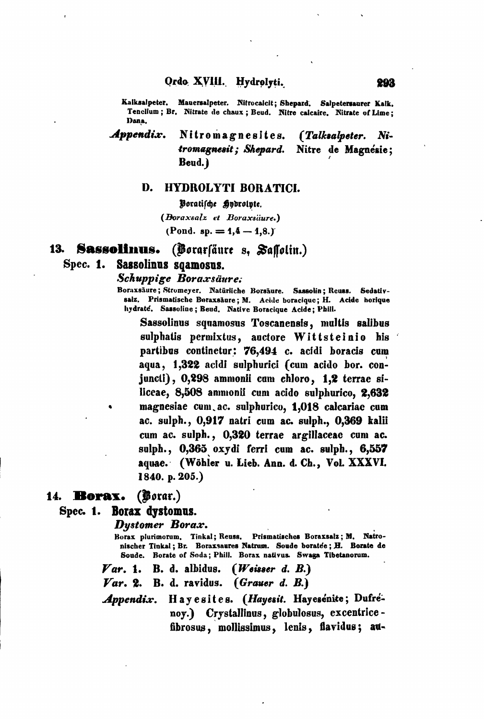Kalksalpeter. Mauersalpeter. Nitrocalcit; Shepard. Salpetersaurer Kalk. Tenellum; Br. Nitrate de chaux; Beud. Nitre calcaire. Nitrate of Lime; Dana.

Appendix. Nitromagnesites. *(Talksalpeter.*  $N$ :tromagnesit; Shepard. Nitre de Magnésie: Beud.)

### D. HYDROLYTI BORATICI.

Voratifche **Sodrointe**. (Boraxsalz et Boraxsäure.) (Pond. sp.  $= 1.4 - 1.8$ .)

#### 13. Sassolinus. (Borarfäure s, Saffolin.)

#### Sassolinus sqamosus.  $Spec. 1.$

### Schuppige Boraxsäure.

Boraxsäure; Stromeyer. Natürliche Borsäure. Sassolin; Reuss. Sedativsalz. Prismatische Boraxsäure: M. Acide boracique: H. Acide horique hydraté, Sassoline; Beud. Native Boracique Acide: Phill.

Sassolinus squamosus Toscanensis, multis salibus sulphatis permixtus, auctore Wittsteinio his partibus continetur: 76,494 c. acidi boracis cum aqua, 1,322 acidi sulphurici (cum acido bor. conjuncti), 0,298 ammonii cam chloro, 1,2 terrae siliceae, 8,508 ammonii cum acido sulphurico. 2.632 magnesiae cum ac. sulphurico, 1,018 calcariae cum ac. sulph., 0,917 natri cum ac. sulph., 0,369 kalii cum ac. sulph., 0,320 terrae argillaceae cum ac. sulph., 0,365 oxydi ferri cum ac. sulph., 6,557 aquae. (Wöhler u. Lieb. Ann. d. Ch., Vol. XXXVI. 1840. p. 205.)

# 14. Borax. (Borar.)

### Spec. 1. Borax dystomus.

**Dystomer Borax.** 

Borax plurimorum, Tinkal; Reuss. Prismatisches Boraxsalz; M. Natronischer Tinkal; Br. Boraxsaures Natrum. Soude boratée; H. Borate de Soude. Borate of Soda; Phill. Borax nativus. Swaga Tibetanorum.

 $(W$ eisser d.  $B.$ )  $\boldsymbol{Var.}$  1. B. d. albidus.

B. d. ravidus. (Grauer d. B.)  $\boldsymbol{Var.}$  2.

Hayesites. (Hayesit. Hayesenite; Dufre-Appendix. nov.) Crystallinus, globulosus, excentricefibrosus, mollissimus, lenis, flavidus; au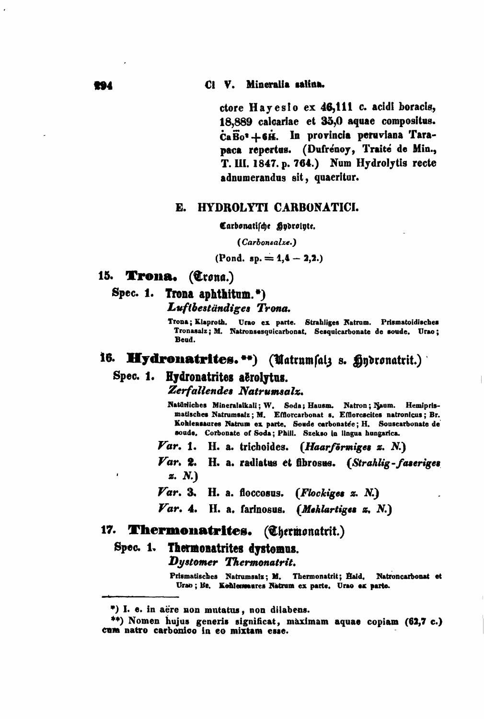ctore Hayesio ex 46,111 c. acidi boracis, 18.889 calcariae et 35,0 aquae compositus. CaBo<sup>2</sup>+6H. In provincia peruviana Tarapaca repertus. (Dufrénoy, Traité de Min., T. III. 1847. p. 764.) Num Hydrolytis recte adnumerandus sit, quaeritur.

### E. HYDROLYTI CARBONATICI.

Carbonatische Hydrolyte.

(Carbonsalze.)

(Pond. sp. =  $1,4 - 2,2.$ )

# 15. Trona. (Trona.)

Spec. 1. Trona aphthitum.") Luftbeständiges Trona.

> Trona; Klaproth. Urao ex parte. Strahliges Natrum. Prismatoidisches Tronasaiz; M. Natronsesquicarbonat. Sesquicarbonate de soude. Urao; Bend.

# 16. Hydronatrites.\*\*) (Uatrumfalz s. flydronatrit.)

# Spec. 1. Hydronatrites aërolytus.

Zerfallendes Natrumsalz.

Natürliches Mineralalkali; W. Soda; Hausm. Natron; Naum. Hemiprismatisches Natrumsalz; M. Efflorcarbonat s. Efflorescites natronicus; Br. Kohlensaures Natrum ex parte. Soude carbonatée; H. Souscarbonate de soude. Corbonate of Soda; Phill. Szekso in lingua hungarica.

Var. 1. H. a. trichoides. (Haarförmiges z. N.)

Var. 2. H. a. radiatus et fibrosus. (Strahlig-faseriges *z. N.*)

 $\boldsymbol{Var.}$  3. H. a. floccosus. (Flockiges z. N.)

Var. 4. H. a. farinosus. (Meklartiges z. N.)

## 17. Thermonatrites. (Chermonatrit.)

#### Thermonatrites dystomus. Spec. 1.

Dystomer Thermonatrit.

Prismatisches Natrumsalz; M. Thermonatrit; Haid. Natroncarbonat et Urao; Be. Kohlemeares Natrum ex parte. Urao ex parte.

<sup>\*)</sup> I. e. in aere non mutatus, non dilabens.

<sup>\*\*)</sup> Nomen hujus generis significat, maximam aquae copiam (62,7 c.) cum natro carbonico in eo mixtam esse.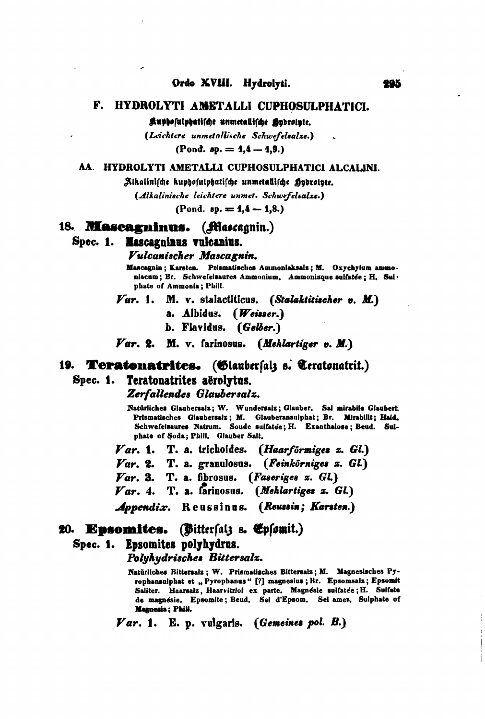#### F. HYDROLYTI AMETALLI CUPHOSULPHATICI.

Kuphosulphatische unmetallische Sydrolyte.

(Leichtere unmetallische Schwefelsalze.)

(Pond.  $sp. = 1, 4 - 1, 9.$ )

### AA. HYDROLYTI AMETALLI CUPHOSULPHATICI ALCALINI.

Alkalinische kuphosulphatische unmetallische Approinte.

(Alkalinische leichtere unmet. Schwefelsalze.)

(Pond.  $sp. = 4, 4 - 1, 8$ .)

### 18. **Mascagninus.** (Mascagnin.)

# Spec. 1. Mascagninus vulcanius.

### Vulcanischer Mascagnin.

Mascagnin; Karsten. Prismatisches Ammoniaksalz; M. Oxychylum ammoniacum; Br. Schwefelsaures Ammonium. Ammoniaque sulfatée; H. Sul· phate of Ammonia; Phill.

M. v. stalactiticus. (Stalaktitischer v. M.) *Var.* 1.

a. Albidus. (Weisser.)

b. Flavidus. (Gelber.)

Var. 2. M. v. farinosus. (Mehlartiger v. M.)

# 19. Teratonatrites. (Glauberfalz s. Teratonatrit.) Spec. 1. Teratonatrites aërolytus.

Zerfallendes Glaubersalz.

Natürliches Glaubersalz; W. Wundersalz; Glauber. Sal mirabile Glaubert. Prismatisches Glaubersalz; M. Glauberansulphat; Br. Mirabilit; Haid. Schwefelsaures Natrum. Soude sulfatée; H. Exanthalose; Beud. Sulphate of Soda; Phill. Glauber Salt.

Var. 1. T. a. trichoides. (Haarförmiges z. Gl.)  $\boldsymbol{Var}$ , 2. T. a. granulosus. (Feinkörniges z. GL) T. a. fibrosus. (Faseriges z. Gl.)  $\boldsymbol{\mathit{Var}}$ . 3.  $Var. 4.$  T. a. farinosus. (Mehlartiges z. Gl.) Appendix. Reussinus. (Reussin; Karsten.)

# 20. Epsomites. (Bitterfalz s. Epfomit.)

### Spec. 1. Epsomites polyhydrus.

Polyhydrisches Bittersalz.

Natürliches Bittersalz; W. Prismatisches Bittersalz; M. Magnesisches Pyrophansulphat et "Pyrophanus" [?] magnesius; Br. Epsomsalz; Epsomit Saliter. Haarsalz, Haarvitriol ex parte. Magnésie sulfatée; H. Sulfate de magnésie. Epsomite; Beud. Sel d'Epsom. Sel amer. Sulphate of Magnesia; Phill.

 $\boldsymbol{Var}.$  1. E. p. vulgaris. (Gemeines pol. B.)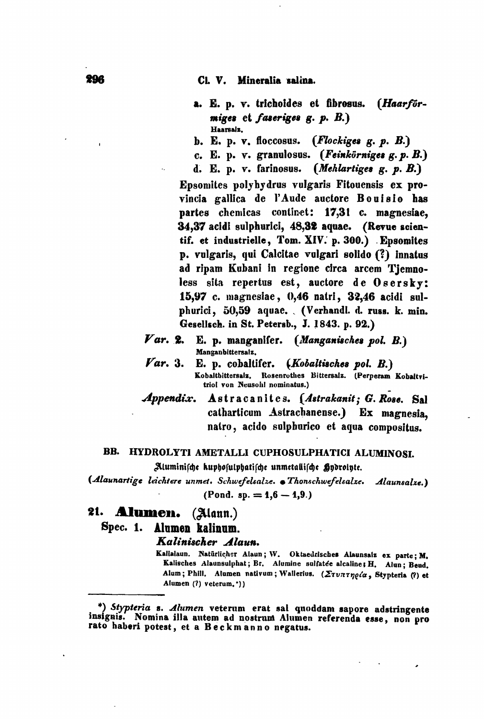Cl. V. Mineralia salina.

- a. E. p. v. trichoides et fibrosus. (Haarförmiges et faseriges  $g. p. B.$ Haarsalz.
- b. E. p. v. floccosus. (*Flockiges g. p. B.*)
- c. E. p. v. granulosus. (Feinkörniges  $g$ . p. B.)
- d. E. p. v. farinosus. (Mehlartiges g. p. B.)

Epsomites polyhydrus vulgaris Fitouensis ex provincia gallica de l'Aude auctore Bouisio has partes chemicas continet: 17.31 c. magnesiae. 34,37 acidi sulphurici, 48,32 aquae. (Revue scientif. et industrielle, Tom. XIV. p. 300.) Epsomites p. vulgaris, qui Calcitae vulgari solido (?) innatus ad ripam Kubani in regione circa arcem Tjemnoless sita repertus est, auctore de Osersky: 15.97 c. magnesiae, 0,46 natri, 32,46 acidi sulphurici, 50,59 aquae. (Verhandl. d. russ. k. min. Gesellsch. in St. Petersb., J. 1843. p. 92.)

- $\boldsymbol{Var.}$  2. E. p. manganifer. (Manganisches pol. B.) Manganbittersalz,
- $\boldsymbol{Var.}$  3. E. p. cobaltifer. (Kobaltisches pol. B.) Kobaltbittersalz, Rosenrothes Bittersalz. (Perperam Kobaltvitriol von Neusohl nominatus.)
- Astracanites. (Astrakanit; G. Rose. Sal  $\boldsymbol{Appendix.}$ catharticum Astrachanense.) Ex magnesia. natro, acido sulphurico et aqua compositus.

### BB. HYDROLYTI AMETALLI CUPHOSULPHATICI ALUMINOSI.

Aluminische kuphosulphatische unmetallische Hydrolyte.

(Alaunartige leichtere unmet. Schwefelsalze. • Thonschwefelsalze. Alaunsalze.) (Pond. sp.  $= 1,6 - 1,9.$ )

# 21. Alumen. (Alann.)

**Spec. 1.** Alumen kalinum.

Kalinischer Alaun.

Kalialaun. Natürlicher Alaun; W. Oktaedrisches Alaunsalz ex parte; M. Kalisches Alaunsulphat; Br. Alumine sulfatée alcaline; H. Alun; Beud. Alum; Phill. Alumen nativum; Wallerius. (Στυπτηρία, Stypteria (?) et Alumen (?) veterum, \*))

<sup>\*)</sup> Stypteria s. Alumen veterum erat sal quoddam sapore adstringente insignis. Nomina illa autem ad nostrum Alumen referenda esse, non pro rato haberi potest, et a Beckmanno negatus.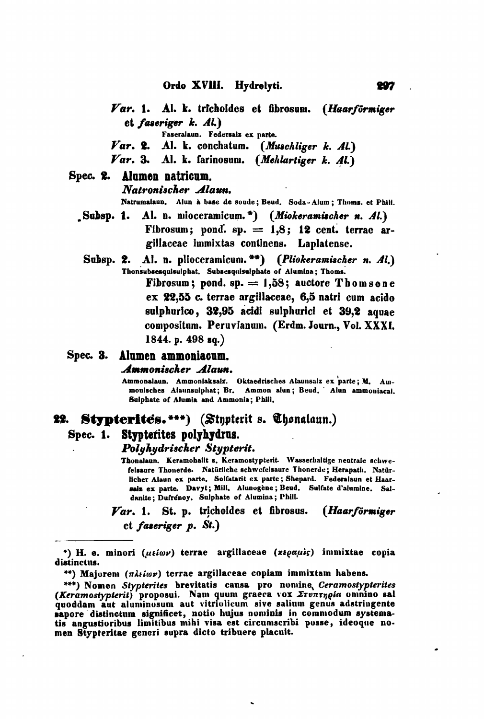- Var. 1. Al. k. trichoides et fibrosum. (Haarförmiger et faseriger  $k$ .  $Al.$ 
	- Faseralaun. Federsalz ex parte.
- Var. 2. Al. k. conchatum. (Muschliger k. Al.)
- Var. 3. Al. k. farinosum. (Mehlartiger k. Al.)

### Spec. 2. Alumen natricum.

### Natronischer Alaun.

Natrumalaun. Alun à base de soude; Beud. Soda-Alum; Thoms. et Phill.

- Subsp. 1. Al. n. mioceramicum.\*) (Miokeramischer n. Al.) Fibrosum; pond. sp.  $= 1.8$ ; 12 cent. terrac argillaceae immixtas continens. Laplatense.
	- Subsp. 2. Al. n. plioceramicum. \*\*) (Pliokeramischer n. Al.) Thonsubsesquisulphat, Subsesquisulphate of Alumina; Thoms.

Fibrosum; pond.  $sp. = 1.58$ ; auctore Thomsone ex 22,55 c. terrae argillaceae, 6,5 natri cum acido sulphurico, 32,95 acidi sulphurici et 39.2 aquae compositum. Peruvianum. (Erdm. Journ., Vol. XXXI. 1844. p. 498 sq.)

# Spec. 3. Alumen ammoniacum.

### Ammonischer Alaun.

Ammonalaun. Ammoniaksaiz. Oktaedrisches Alaunsaiz ex parte; M. Ammonisches Alaunsulphat; Br. Ammon alun; Beud. Alun ammoniacal. Sulphate of Alumia and Ammonia; Phill,

#### 22. **Stypterites.\*\*\*)** (Stapterit s. Chonalaun.)

#### Spec.  $1.$ Stypterites polyhydrus.

### Polyhydrischer Stypterit.

Thonalaun. Keramohalit s. Keramostypterit. Wasserhaltige neutrale schwefelsaure Thonerde. Natürliche schwefelsaure Thonerde; Herapath. Natürlicher Alaun ex parte. Solfatarit ex parte; Shepard. Federalaun et Haarsalz ex parte. Davyt; Mill. Alunogène; Beud. Sulfate d'alumine. Saldanite: Dufrenoy. Sulphate of Alumina; Phill.

 $\boldsymbol{\mathit{Var}}$ , 1. St. p. trichoides et fibrosus. (Haarförmiger  $et$  faseriger  $p.$  St.)

<sup>\*)</sup> H. e. minori (μείων) terrae argillaceae (xεραμίς) immixtae copia distinctus.

<sup>\*\*)</sup> Majorem ( $\pi\lambda i\omega\nu$ ) terrae argillaceae copiam immixtam habens.

<sup>\*\*\*)</sup> Nomen Stypterites brevitatis causa pro nomine, Ceramostypterites (Keramostypterit) proposui. Nam quum graeca vox Ervaringia oninino sal<br>quoddam aut aluminosum aut vitriolicum sive salium genus adstringente sapore distinctum significet, notio hujus nominis in commodum systema-<br>tis angustioribus limitibus mihi visa est circumscribi posse, ideoque nomen Stypteritae generi supra dicto tribuere placuit.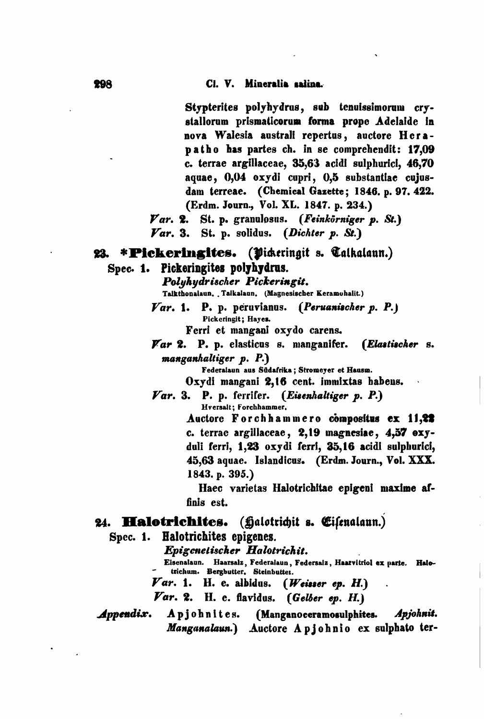Stypterites polyhydrus, sub tenuissimorum crystallorum prismaticorum forma prope Adelaide in nova Walesia australi repertus, auctore Herapatho has partes ch. in se comprehendit: 17.09 c. terrae argillaceae, 35,63 acidi sulphurici, 46,70 acuae. 0.04 oxydi cupri. 0.5 substantiae cujusdam terreae. (Chemical Gazette; 1846. p. 97. 422. (Erdm. Journ., Vol. XL. 1847. p. 234.)

Var. 2. St. p. granulosus. (Feinkörniger p. St.)  $\boldsymbol{Var}$ , 3. St. p. solidus. (Dichter p. St.)

# 23. \*Pickeringites. (Vickeringit s. Talkalaun.)

# Spec. 1. Pickeringites polyhydrus.

Poluhudrischer Pickeringit. Talkthonalaun, Talkalaun, (Magnesischer Keramohalit.)

 $Var. 1. P. p. peruvianus. (Peruanischer p. P.)$ Pickeringit; Hayes.

Ferri et mangani oxydo carens.

Var 2. P. p. elasticus s. manganifer. (Elastischer s. manganhaltiger p. P.)

Federalaun aus Südafrika: Stromever et Hausm.

Oxydi mangani 2,16 cent. immixtas habens.

 $\boldsymbol{Var.}$  3. P. p. ferrifer. (Eisenhaltiger p. P.) Hversalt: Forchhammer.

> Auctore Forchhammero compositus ex 11,22 c. terrac argillaceae, 2,19 magnesiae, 4,57 exyduli ferri, 1,23 oxydi ferri, 35,16 acidi sulphurici, 45,63 aquae. Islandicus. (Erdm. Journ., Vol. XXX. 1843. p. 395.)

> Haec varietas Halotrichitae epigeni maxime affinis est.

# 24. **Halotrichites.** (halotrichit s. Cifenalaun.)

Spec. 1. Halotrichites epigenes.

Epigenetischer Halotrichit.

Eisenalaun. Haarsalz, Federalaun, Federsalz, Haarvitriol ex parte. Halotrichum. Bergbutter, Steinbutter.

 $\boldsymbol{Var}.$  1. H. e. albidus.  $(Weiserep. H.)$ 

 $\boldsymbol{Var}$ . 2. H. e. flavidus. (Gelber ep. H.)

#### Appendix. (Manganoceramosulphites. Apjohnites. Apjohnit. Manganalaun.) Auctore Apjohnio ex sulphato ter-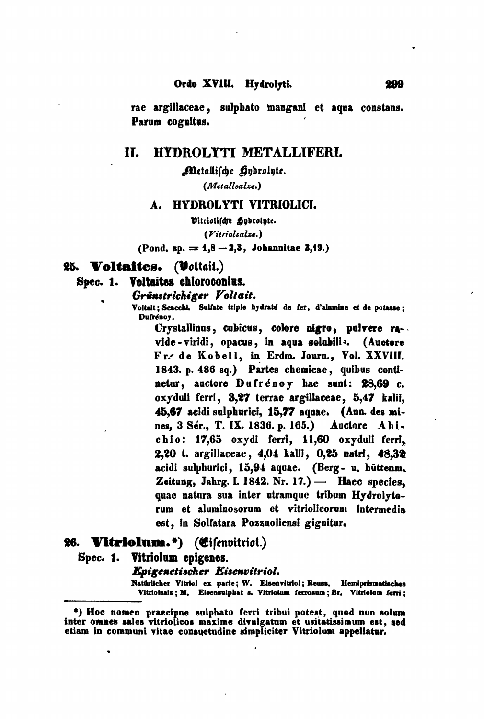rae argillaceae, sulphato mangani et aqua constans. Parum cognitus.

#### П. HYDROLYTI METALLIFERI.

Metallische Hydrolyte.

(Metallsalze.)

#### **HYDROLYTI VITRIOLICI.**  $\mathbf{A}$ .

Vitriolischr gydrolyte.

(Vitriolsalze.)

(Pond. sp.  $= 1,8 - 2,3$ , Johannitae 3,19.)

# 25. Voltaites. (Voltait.)

#### Spec. 1. Voltaites chloroconius.

### Gränstrichiger Voltait.

Voltait; Scacchi. Sulfate triple hydraté de fer, d'alumine et de potasse; Dufrenov.

Crystallinus, cubicus, colore nigro, pulvere ravide-viridi, opacus, in aqua solubili<sup>z</sup>. (Auotore Fr. de Kobell, in Erdm. Journ., Vol. XXVIII. 1843. p. 486 sq.) Partes chemicae, quibus continetur, auctore Dufrénoy hac sunt: 28,69 c. oxyduli ferri, 3,27 terrae argillaceae, 5,47 kalii, 45,67 acidi sulphurici, 15,77 aquae. (Ann. des mines, 3 Ser., T. IX. 1836. p. 165.) Auctore Abichio: 17,65 oxydi ferri, 11,60 oxyduli ferri, 2,20 t. argillaceae, 4,04 kalli, 0,25 natri, 48,32 acidi sulphurici, 15,94 aquae. (Berg- u. hūttenm. Zeitung, Jahrg. I. 1842. Nr. 17.) - Haec species, quae natura sua inter utramque tribum Hydrolytorum et aluminosorum et vitriolicorum intermedia est, in Solfatara Pozzuoliensi gignitur.

# 26. Vitriolum.\*) (Cifenvitriot.) Spec. 1. Vitriolum epigenes. **Epigenetischer Eisenvitriol.**

Natürlicher Vitriol ex parte; W. Eisenvitriol; Reuss. Hemiprismatisches Vitrioisaiz; M. Eisensulphat s. Vitrioium ferrosum; Br. Vitrioium ferri;

<sup>\*)</sup> Hoc nomen praecipue sulphato ferri tribui potest, quod non solum inter omnes sales vitriolicos maxime divulgatum et usitatissimum est, sed etiam in communi vitae consuetudine simpliciter Vitriolum appellatur.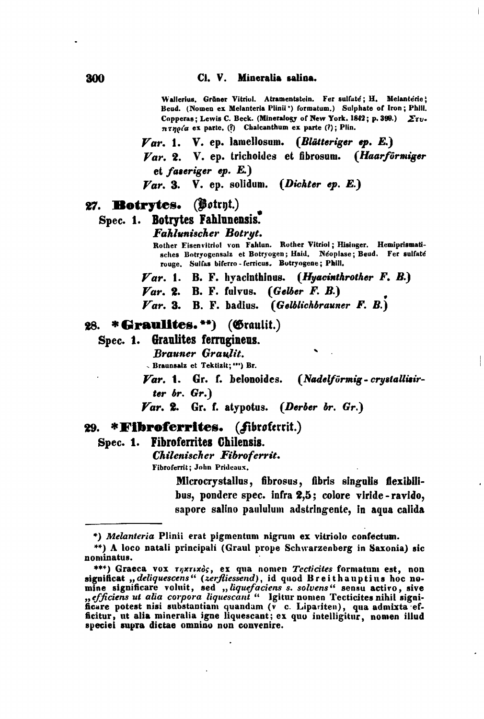Wallerius, Grüner Vitriol. Atramentstein. Fer sulfate; H. Melanterie; Beud. (Nomen ex Melanteria Plinii') formatum.) Sulphate of Iron; Phill. Copperas; Lewis C. Beck. (Mineralogy of New York. 1842; p. 399.)  $\Sigma \tau v$ .  $\pi \tau \eta \rho / \alpha$  ex parte. (?) Chalcanthum ex parte (?); Plin.

 $Var$ , 1. V. ep. lamellosum. (Blätteriger ep. E.) Var. 2. V. ep. trichoides et fibrosum. (Haarförmiger et faseriger ep.  $E.$ )

 $\boldsymbol{\mathit{Var}}$ , 3. V. ep. solidum. (Dickter ep. E.)

#### 27. Botrytes.  $(\mathbf{Bot}$ tryt.)

# Spec. 1. Botrytes Fahlunensis.

Fahlunischer Botrut.

Rother Eisenvitriol von Fahlun. Rother Vitriol; Hisinger. Hemiprismatisches Botryogensalz et Botryogen; Haid. Néoplase; Beud. Fer sulfaté rouge. Sulfas biferro-ferricus. Botryogene; Phill.

 $\boldsymbol{V}$ ar. 1. B. F. hyacinthinus. (Hyacinthrother F. B.)

 $\boldsymbol{Var}$ . 2. B. F. fulvus. (Gelber F. B.)

Var. 3. B. F. badius. (Gelblichbrauner F. B.)

### 28. \* Graulites. \*\*) (Graulit.)

Spec. 1. Graulites ferrugineus.

**Brauner Graulit.** 

- Braunsalz et Tektizit; "") Br.

Var. 1. Gr. f. belonoides. (Nadelförmig - crystallisirter  $br.$   $Gr.$ 

 $\boldsymbol{Var}$ . 2. Gr. f. atypotus. (Derber br. Gr.)

### 29. \***Fibroferrites.** *(fibroferrit.)*

### Spec. 1. Fibroferrites Chilensis.

Chilenischer Fibroferrit.

Fibroferrit; John Prideaux.

Microcrystallus, fibrosus, fibris singulis flexibilibus, pondere spec. infra 2,5; colore viride-ravido, sapore salino paululum adstringente, in aqua calida

<sup>\*)</sup> Melanteria Plinii erat pigmentum nigrum ex vitriolo confectum.

<sup>\*\*)</sup> A loco natali principali (Graul prope Schwarzenberg in Saxonia) sic nominatus.

<sup>\*\*\*)</sup> Graeca vox *rnxrixos*, ex qua nomen Tecticites formatum est, non significat "deliquescens" (zerfliessend), id quod Breithauptius hoc nomine significare voluit, sed ,, liquefaciens s. solvens" sensu activo, sive<br>, efficiens ut alia corpora liquescant " Igitur nomen Tecticites nihil significare potest nisi substantiam quandam (v c. Lipariten), qua admixta efficitur, ut alia mineralia igne liquescant; ex quo intelligitur, nomen illud speciei supra dictae omnino non convenire.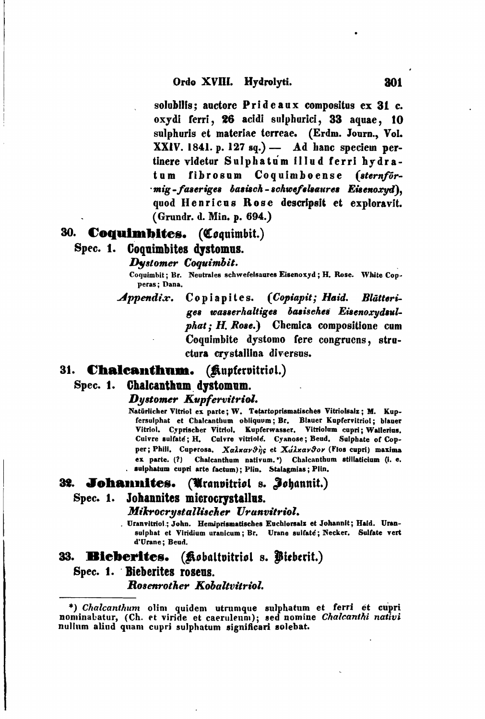solubilis: auctore Prideaux compositus ex 31 c. oxvdi ferri. 26 acidi sulphurici, 33 aquae. 10 sulphuris et materiae terreae. (Erdm. Journ., Vol.  $XXIV. 1841. p. 127 so.)$  Ad hanc speciem pertinere videtur Sulphatum illud ferri hydratum fibrosum Coquimboense (sternförmig-faseriges basisch-schwefelsaures Eisenoxyd). quod Henricus Rose descripsit et exploravit. (Grundr. d. Min. p. 694.)

# 30. **Coquimbites.** (Coquimbit.)

## Spec. 1. Coquimbites dystomus.

### Dystomer Coquimbit.

Coquimbit: Br. Neutrales schwefelsaures Eisenoxyd; H. Rose. White Conperas; Dana,

Appendix. Copiapites. (Copiapit; Haid. Blätteriges wasserhaltiges basisches Eisenoxydsulphat; H. Rose.) Chemica compositione cum Coquimbite dystomo fere congruens, structura crystallina diversus.

# 31. **Chalcanthum.** (*fluptervitriol.*)

#### Chalcanthum dystomum. Spec. 1.

## Dustomer Kupfervitriol.

Natürlicher Vitriol ex parte; W. Tetartoprismatisches Vitriolsalz; M. Kupfersulphat et Chalcanthum obliquum; Br. Blauer Kupfervitriol; blauer Vitriol. Cyprischer Vitriol. Kupferwasser. Vitriolum cupri: Wallerius. Cuivre sulfate; H. Cuivre vitriole. Cyanose; Beud. Sulphate of Conper; Phill. Cuperosa. XalxarSig et XalxarSor (Flos cupri) maxima ex parte. (?) Chalcanthum nativum.") Chalcanthum stillaticium (i. e. sulphatum cupri arte factum); Plin. Stalagmias; Plin.

#### 32. Johannites. (Uranvitriol s. Johannit.)

### Spec. 1. Johannites microcrystallus.

### Mikrocrystallischer Uranvitriol.

. Uranvitriol ; John. Hemiprismatisches Euchlorsalz et Johannit; Haid. Uransulphat et Viridium uranicum; Br. Urane sulfate; Necker. Sulfate vert d'Urane: Beud.

# 33. Bieberites. (Kobaltvitriol s. Pieberit.) Spec. 1. Bieberites rosens. Rosenrother Kobaltvitriol.

\*) Chalcanthum olim quidem utrumque sulphatum et ferri et cupri nominabatur, (Ch. et viride et caeruleum); sed nomine Chalcanthi nativi nullum aliud quam cupri sulphatum significari solebat.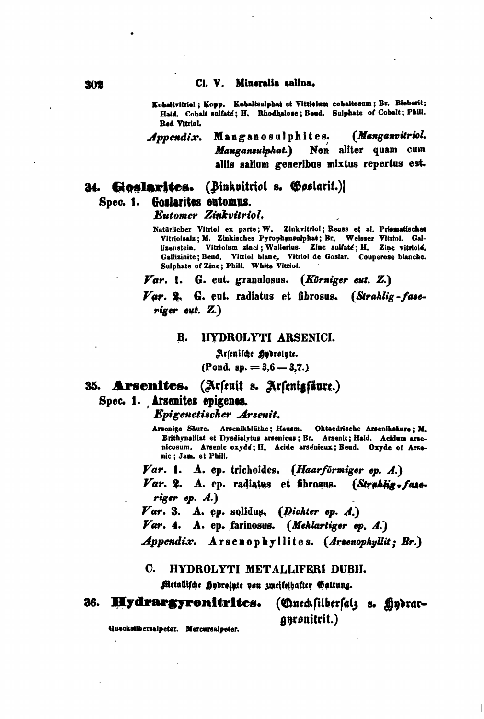### Cl. V. Mineralia salina.

Kobaltvitriol; Kopp. Kobaltsulphat et Vitrielum cobaltosum; Br. Bieberit; Haid. Cobalt sulfate; H. Rhodhalose; Beud. Sulphate of Cobalt; Phill. Red Vitriol.

(Manganvitriol. Appendix. Manganosulphites. Mangansulphat.) Non aliter quam cum aliis salium generibus mixtus repertus est.

### (Binkpitriol s. Goslarit.) 34. Goslarites. Spec. 1. Goslarites eutomus.

Eutomer Zinkvitriol.

Natürlicher Vitriol ex parte; W. Zinkvitriol; Reuss et al. Prismatisches Vitriolsalz; M. Zinkisches Pyrophansulphat; Br. Weisser Vitriol. Gallizenstein. Vitriolum zinci; Wallerius. Zinc sulfate; H. Zinc vitriole. Gallizinite: Beud. Vitriol blanc. Vitriol de Goslar. Couperose blanche. Sulphate of Zinc; Phill. White Vitriol.

 $\boldsymbol{Var}.$  1. G. eut. granulosus. (Körniger eut. Z.)

Var. 2. G. eut. radiatus et fibrosus. (Strahlig-faseriger eut.  $Z$ .)

#### HYDROLYTI ARSENICI. B.

Arsenische Hydrolyte. (Pond. sp.  $= 3.6 - 3.7.$ )

35. Arsenites. (Arsenit s. Arsenigsäure.) Spec. 1. Arsenites epigenes.

Epigenetischer Arsenit.

Arsenige Säure. Arsenikblüthe; Hausm. Oktaedrische Arseniksäure; M. Brithynalliat et Dysdialytus arsenicus; Br. Arsenit; Haid. Acidum arsenicosum. Arsenic oxyde; H. Acide arsenieux; Beud. Oxyde of Arsenic; Jam. et Phill.

Var. 1. A. ep. trichoides. (Haarförmiger ep. A.)

Var. 2. A. ep. radiatus et fibrosus. (Strablig, faseriger  $ep. A.$ )

Var. 3. A. cp. solidus. (Dichter op.  $A$ .)

Var. 4. A. ep. farinosus. (Meklartiger ep. A.)

*Appendix.* A rsenophyllites. (Arsenophyllit; Br.)

#### C. HYDROLYTI METALLIFERI DUBII.

Metallische gydreinte von zweifeihafter Gattung.

#### 36. Hydrargyronitrites. (Cueckfilberfalz s. Hydraranronitrit.)

Quecksilbersalpeter. Mercursalpeter.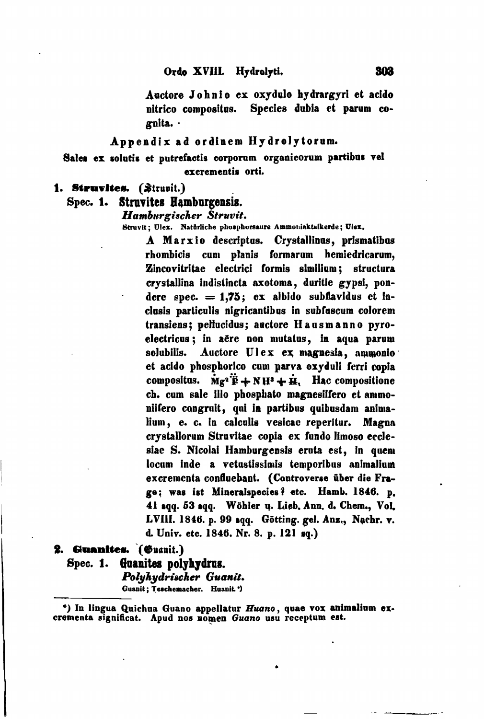Auctore Johnio ex oxydulo hydrargyri et acido nitrico compositus. Species dubia et parum cognita. ·

Appendix ad ordinem Hydrolytorum.

Sales ex solutis et putrefactis corporum organicorum partibus vel excrementis orti.

1. Struvites. (Strupit.)

Spec. 1. Struvites Hamburgensis.

Hamburgischer Struvit.

Struvit; Ulex. Natürliche phosphorsaure Ammoniaktalkerde; Ulex.

A Marxio descriptus. Crystallinus, prismatibus rhombicis cum planis formarum hemiedricarum, Zincovitritae electrici formis similium; structura crystallina indistincta axotoma, duritie gypsi, pondere spec.  $= 1.75$ ; ex albido subflavidus et inclusis particulis nigricantibus in subfuscum colorem transiens; pellucidus; auctore Hausmanno pyroelectricus; in aëre non mutatus, in aqua parum Auctore Ulex ex magnesia, ammonio solubilis. et acido phosphorico cum parva oxyduli ferri copia compositus.  $\mathbf{M}e^2\ddot{\mathbf{F}} + \mathbf{N}\mathbf{H}^3 + \dot{\mathbf{H}}$ . Hac compositione ch. cum sale illo phosphato magnesiifero et ammoniifero congruit, qui in partibus quibusdam animalium, e. c. in calculis vesicae reperitur. Magna crystallorum Struvitae copia ex fundo limoso ecclesiac S. Nicolai Hamburgensis eruta est, in quem locum inde a vetustissimis temporibus animalium excrementa confluebant. (Controverse über die Frage: was ist Mineralspecies? etc. Hamb. 1846. p. 41 sqq. 53 sqq. Wöhler u. Lieb, Ann. d. Chem., Vol. LVIII. 1846. p. 99 sqq. Götting. gel. Anz., Nachr. v. d. Univ. etc. 1846. Nr. 8. p. 121 sq.)

2. Guanites. (Guanit.)

Spec. 1. Guanites polyhydrus. Polyhydrischer Guanit. Guanit; Teschemacher. Huanit.')

\*) In lingua Quichua Guano appellatur Huano, quae vox animalium excrementa significat. Apud nos nomen Guano usu receptum est.